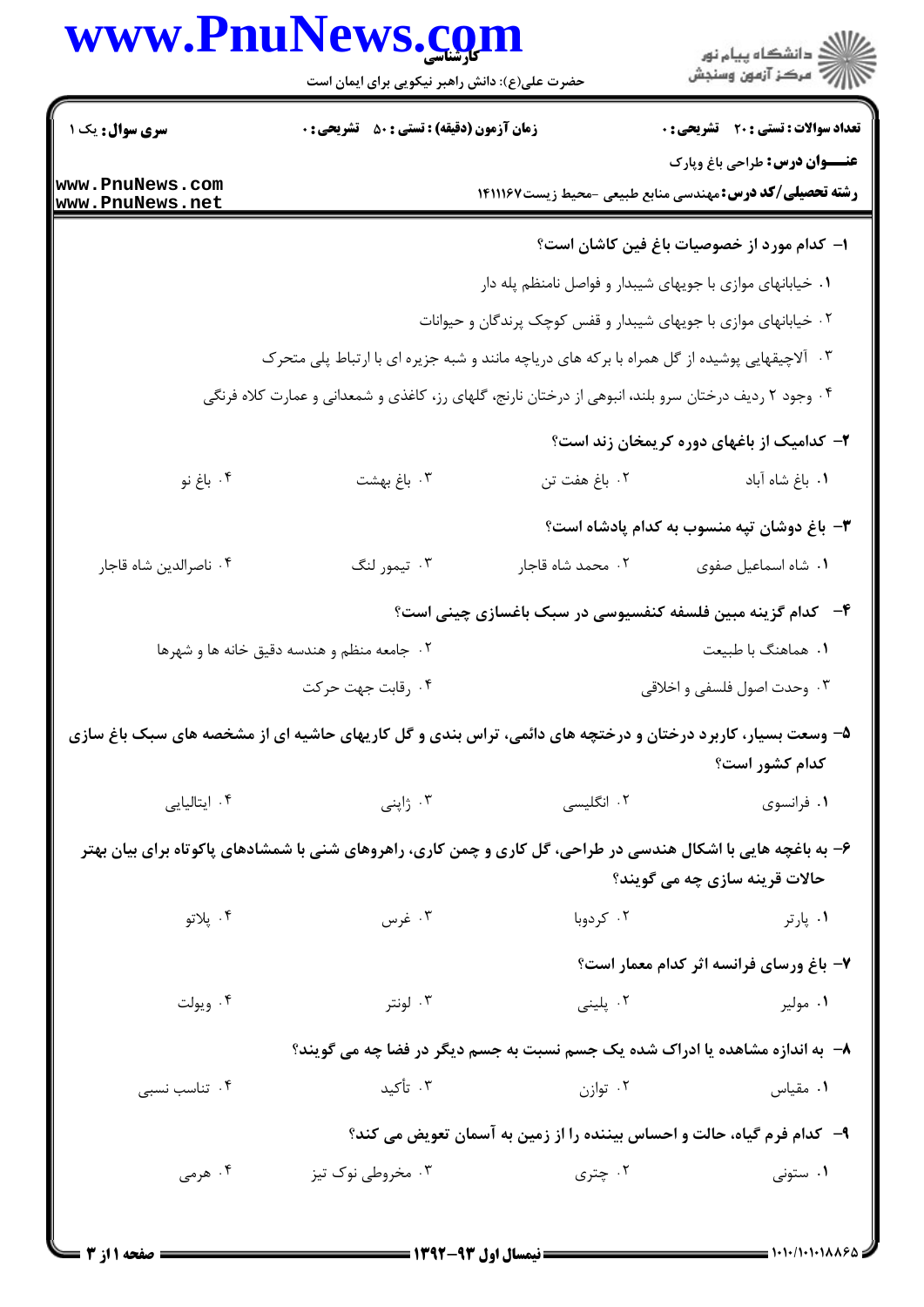|                                    | www.PnuNews.com                                                                                               |                                                                         | ڪ دانشڪاه پيام نور<br>∕7 مرڪز آزمون وسنڊش    |  |
|------------------------------------|---------------------------------------------------------------------------------------------------------------|-------------------------------------------------------------------------|----------------------------------------------|--|
|                                    | حضرت علی(ع): دانش راهبر نیکویی برای ایمان است                                                                 |                                                                         |                                              |  |
| <b>سری سوال :</b> یک ۱             | <b>زمان آزمون (دقیقه) : تستی : 80 ٪ تشریحی : 0</b>                                                            |                                                                         | <b>تعداد سوالات : تستی : 20 - تشریحی : 0</b> |  |
| www.PnuNews.com<br>www.PnuNews.net |                                                                                                               | <b>رشته تحصیلی/کد درس:</b> مهندسی منابع طبیعی -محیط زیست1411167         | <b>عنـــوان درس:</b> طراحي باغ وپارک         |  |
|                                    |                                                                                                               |                                                                         | ا– كدام مورد از خصوصیات باغ فین كاشان است؟   |  |
|                                    |                                                                                                               | ۰۱ خیابانهای موازی با جویهای شیبدار و فواصل نامنظم پله دار              |                                              |  |
|                                    |                                                                                                               | ۰۲ خیابانهای موازی با جویهای شیبدار و قفس کوچک پرندگان و حیوانات        |                                              |  |
|                                    | ۰۳ آلاچیقهایی پوشیده از گل همراه با برکه های دریاچه مانند و شبه جزیره ای با ارتباط پلی متحرک                  |                                                                         |                                              |  |
|                                    | ۰۴ وجود ۲ ردیف درختان سرو بلند، انبوهی از درختان نارنج، گلهای رز، کاغذی و شمعدانی و عمارت کلاه فرنگی          |                                                                         |                                              |  |
|                                    |                                                                                                               |                                                                         | ۲- کدامیک از باغهای دوره کریمخان زند است؟    |  |
| ۰۴ باغ نو                          | ۰۳ باغ بهشت                                                                                                   | ۰۲ باغ هفت تن                                                           | ٠١. باغ شاه آباد                             |  |
|                                    |                                                                                                               |                                                                         | ۳- باغ دوشان تپه منسوب به کدام پادشاه است؟   |  |
| ۰۴ ناصرالدين شاه قاجار             | ۰۳ تيمور لنگ                                                                                                  | ٠٢ محمد شاه قاجار                                                       | ٠١ شاه اسماعيل صفوى                          |  |
|                                    |                                                                                                               | ۴-۔ کدام گزینه مبین فلسفه کنفسیوسی در سبک باغسازی چینی است؟             |                                              |  |
|                                    | ۰۲ جامعه منظم و هندسه دقیق خانه ها و شهرها                                                                    |                                                                         | ٠١. هماهنگ با طبيعت                          |  |
|                                    | ۰۴ رقابت جهت حركت                                                                                             |                                                                         | ۰۳ وحدت اصول فلسفي و اخلاقي                  |  |
|                                    |                                                                                                               |                                                                         |                                              |  |
|                                    | ۵– وسعت بسیار، کاربرد درختان و درختچه های دائمی، تراس بندی و گل کاریهای حاشیه ای از مشخصه های سبک باغ سازی    |                                                                         | كدام كشور است؟                               |  |
| ۰۴ ایتالیایی                       |                                                                                                               |                                                                         | ۰۱ فرانسوی                                   |  |
|                                    |                                                                                                               |                                                                         |                                              |  |
|                                    | ۶– به باغچه هایی با اشکال هندسی در طراحی، گل کاری و چمن کاری، راهروهای شنی با شمشادهای پاکوتاه برای بیان بهتر |                                                                         | حالات قرینه سازی چه می گویند؟                |  |
| ۰۴ پلاتو                           | ۰۳ غرس                                                                                                        | ۰۲ کردوبا                                                               | ۰۱ پارتر                                     |  |
|                                    |                                                                                                               |                                                                         | ۷- باغ ورسای فرانسه اثر کدام معمار است؟      |  |
| ۰۴ ویولت                           | ۰۳ لونتر                                                                                                      | ۰۲ پلینی                                                                | ۰۱ مولیر                                     |  |
|                                    |                                                                                                               |                                                                         |                                              |  |
|                                    | ۸– به اندازه مشاهده یا ادراک شده یک جسم نسبت به جسم دیگر در فضا چه می گویند؟                                  |                                                                         |                                              |  |
|                                    | ۰۳ تأکید                                                                                                      | ۰۲ توازن                                                                | ۰۱ مقیاس                                     |  |
| ۰۴ تناسب نسبی                      |                                                                                                               |                                                                         |                                              |  |
|                                    |                                                                                                               | ۹- کدام فرم گیاه، حالت و احساس بیننده را از زمین به آسمان تعویض می کند؟ |                                              |  |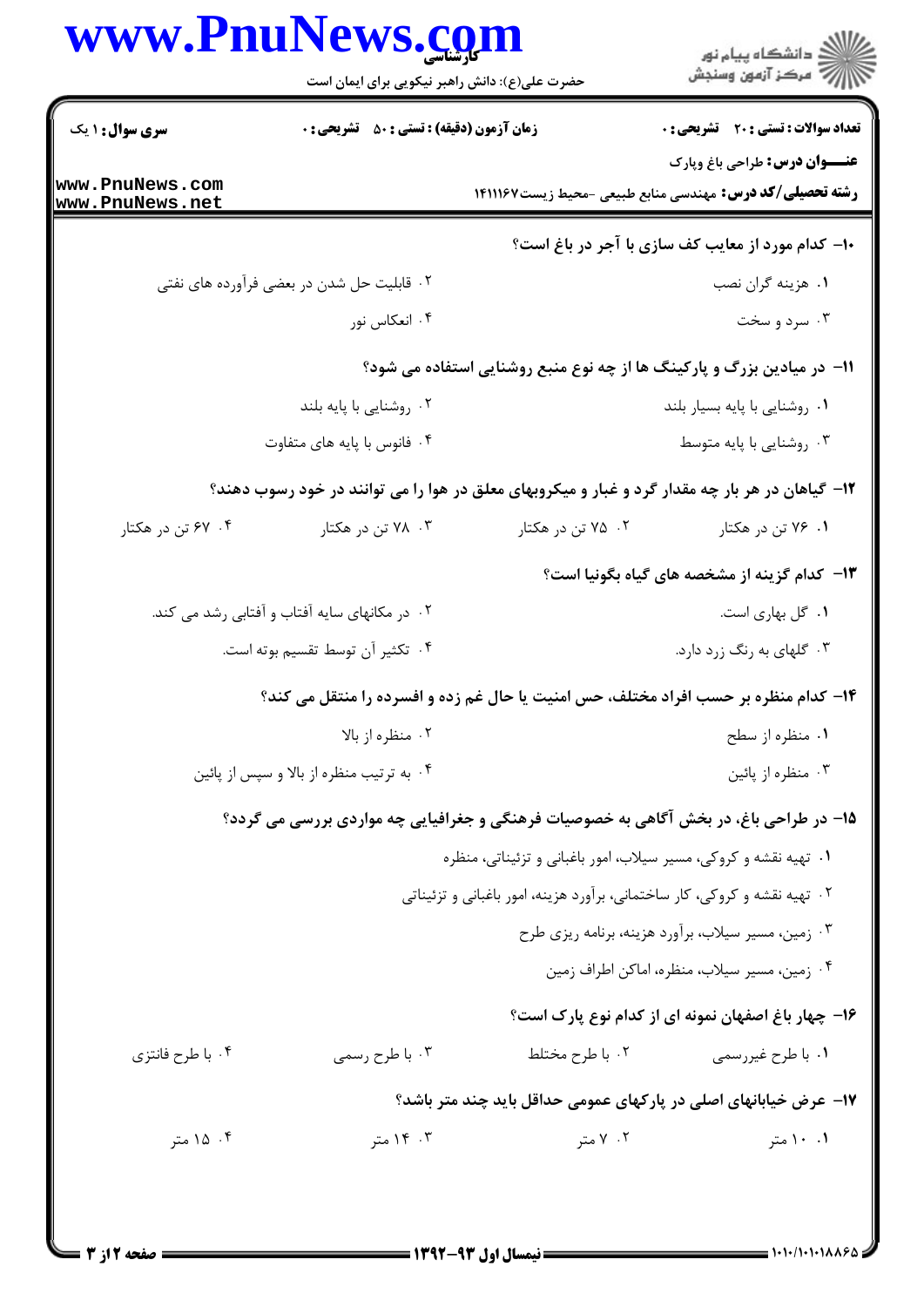|                                    | www.PnuNews.com<br>حضرت علی(ع): دانش راهبر نیکویی برای ایمان است |                                                                                                 | ر<br>راک دانشگاه پیام نور<br>از مرکز آزمون وسنجش   |  |
|------------------------------------|------------------------------------------------------------------|-------------------------------------------------------------------------------------------------|----------------------------------------------------|--|
| <b>سری سوال : ۱ یک</b>             | <b>زمان آزمون (دقیقه) : تستی : 50 ٪ تشریحی : 0</b>               |                                                                                                 | <b>تعداد سوالات : تستی : 20 - تشریحی : 0</b>       |  |
| www.PnuNews.com<br>www.PnuNews.net |                                                                  | <b>رشته تحصیلی/کد درس:</b> مهندسی منابع طبیعی -محیط زیست۷۶۷۱۱۱۶۷                                | <b>عنـــوان درس:</b> طراحي باغ وپارک               |  |
|                                    |                                                                  |                                                                                                 | ۱۰– کدام مورد از معایب کف سازی با آجر در باغ است؟  |  |
|                                    | ۲. قابلیت حل شدن در بعضی فرآورده های نفتی                        |                                                                                                 | ۰۱ هزینه گران نصب                                  |  |
|                                    | ۰۴ انعکاس نور                                                    |                                                                                                 | ۰۳ سرد و سخت                                       |  |
|                                    |                                                                  | <b>۱۱- در میادین بزرگ و پارکینگ ها از چه نوع منبع روشنایی استفاده می شود؟</b>                   |                                                    |  |
|                                    | ۰۲ روشنایی با پایه بلند                                          |                                                                                                 | ٠١ روشنايي با پايه بسيار بلند                      |  |
|                                    | ۰۴ فانوس با پایه های متفاوت                                      |                                                                                                 | ۰۳ روشنایی با پایه متوسط                           |  |
|                                    |                                                                  | ۱۲- گیاهان در هر بار چه مقدار گرد و غبار و میکروبهای معلق در هوا را می توانند در خود رسوب دهند؟ |                                                    |  |
| ۰۴ تن در هکتار                     | ۰۳ . ۷۸ تن در هکتار                                              | ۰۲ ۵/ تن در هکتار                                                                               | ۰۱ ۷۶ تن در هکتار                                  |  |
|                                    |                                                                  |                                                                                                 | ۱۳– کدام گزینه از مشخصه های گیاه بگونیا است؟       |  |
|                                    | ۰۲ در مکانهای سایه آفتاب و آفتابی رشد می کند.                    |                                                                                                 | ۰۱ گل بهاری است.                                   |  |
|                                    | ۰۴ تکثیر آن توسط تقسیم بوته است.                                 |                                                                                                 | ۰۳ گلهای به رنگ زرد دارد.                          |  |
|                                    |                                                                  | ۱۴- کدام منظره بر حسب افراد مختلف، حس امنیت یا حال غم زده و افسرده را منتقل می کند؟             |                                                    |  |
|                                    | ۰۲ منظره از بالا                                                 |                                                                                                 | ۰۱ منظره از سطح                                    |  |
|                                    | ۰۴ به ترتیب منظره از بالا و سپس از پائین                         |                                                                                                 | ۰۳ منظره از پائين                                  |  |
|                                    |                                                                  | ۱۵- در طراحی باغ، در بخش آگاهی به خصوصیات فرهنگی و جغرافیایی چه مواردی بررسی می گردد؟           |                                                    |  |
|                                    |                                                                  | ۰۱ تهیه نقشه و کروکی، مسیر سیلاب، امور باغبانی و تزئیناتی، منظره                                |                                                    |  |
|                                    |                                                                  | ۰۲ تهیه نقشه و کروکی، کار ساختمانی، برآورد هزینه، امور باغبانی و تزئیناتی                       |                                                    |  |
|                                    |                                                                  |                                                                                                 | ۰۳ زمین، مسیر سیلاب، برآورد هزینه، برنامه ریزی طرح |  |
|                                    |                                                                  |                                                                                                 | ۰۴ زمین، مسیر سیلاب، منظره، اماکن اطراف زمین       |  |
|                                    |                                                                  |                                                                                                 | ۱۶– چهار باغ اصفهان نمونه ای از کدام نوع پارک است؟ |  |
| ۰۴ با طرح فانتزى                   | ۰۳ با طرح رسمی                                                   | ٢. با طرح مختلط                                                                                 | ۰۱ با طرح غیررسمی                                  |  |
|                                    |                                                                  | ۱۷– عرض خیابانهای اصلی در پارکهای عمومی حداقل باید چند متر باشد؟                                |                                                    |  |
| ۰۴ ۱۵ متر                          | ۰۳ ۱۴ متر                                                        | ۰۲ متر                                                                                          | ۰.۱ امتر                                           |  |